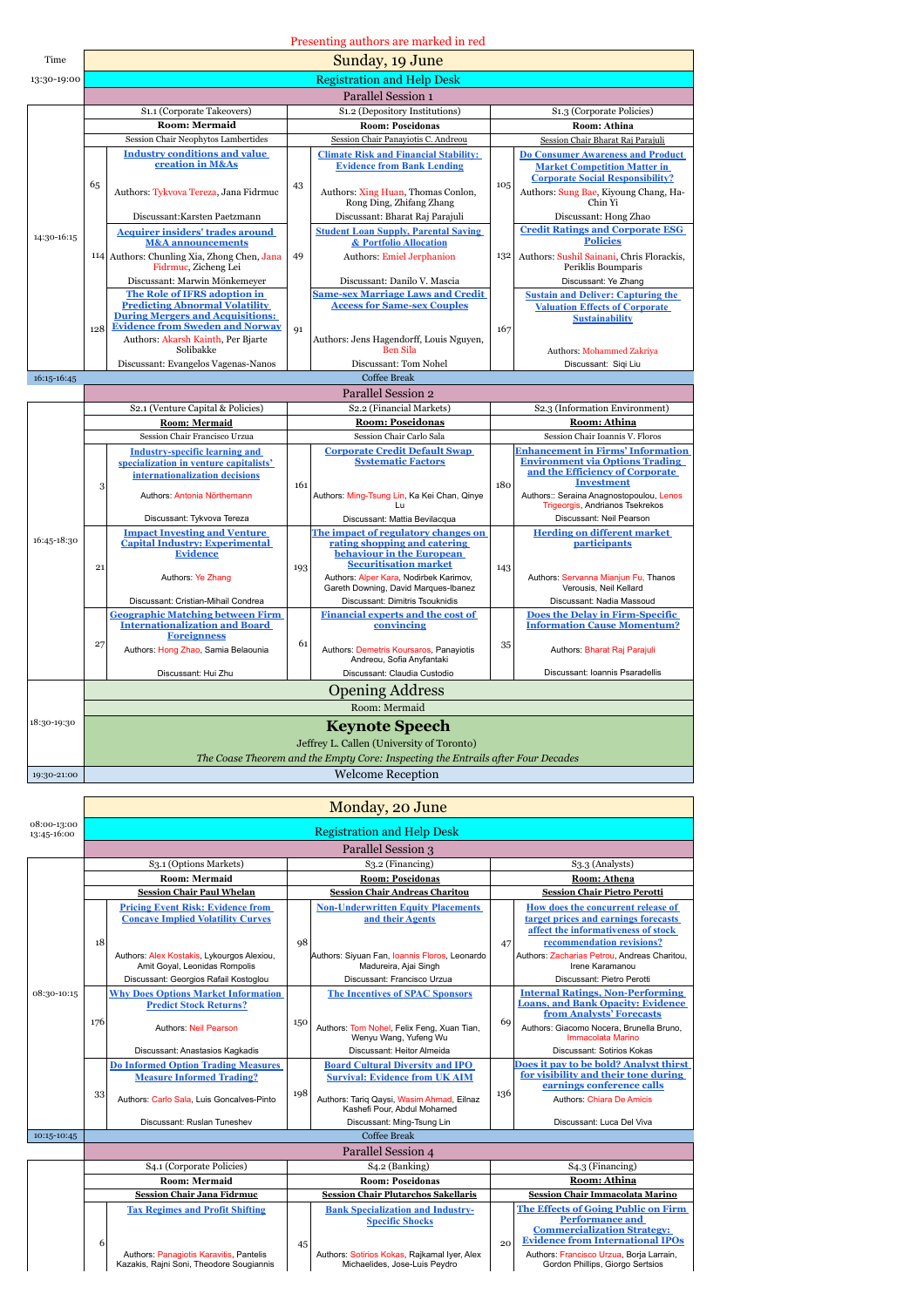|             | Presenting authors are marked in red |                                                                                                                        |     |                                                                                                                |                                   |                                                                                                                            |  |  |
|-------------|--------------------------------------|------------------------------------------------------------------------------------------------------------------------|-----|----------------------------------------------------------------------------------------------------------------|-----------------------------------|----------------------------------------------------------------------------------------------------------------------------|--|--|
| Time        | Sunday, 19 June                      |                                                                                                                        |     |                                                                                                                |                                   |                                                                                                                            |  |  |
| 13:30-19:00 | <b>Registration and Help Desk</b>    |                                                                                                                        |     |                                                                                                                |                                   |                                                                                                                            |  |  |
|             | Parallel Session 1                   |                                                                                                                        |     |                                                                                                                |                                   |                                                                                                                            |  |  |
|             |                                      | S1.1 (Corporate Takeovers)                                                                                             |     | S1.2 (Depository Institutions)                                                                                 | S1.3 (Corporate Policies)         |                                                                                                                            |  |  |
|             |                                      | <b>Room: Mermaid</b>                                                                                                   |     | <b>Room: Poseidonas</b>                                                                                        |                                   | Room: Athina                                                                                                               |  |  |
|             |                                      | Session Chair Neophytos Lambertides                                                                                    |     | Session Chair Panaviotis C. Andreou                                                                            | Session Chair Bharat Raj Parajuli |                                                                                                                            |  |  |
|             |                                      | <b>Industry conditions and value</b><br>creation in M&As                                                               |     | <b>Climate Risk and Financial Stability:</b><br><b>Evidence from Bank Lending</b>                              |                                   | <b>Do Consumer Awareness and Product</b><br><b>Market Competition Matter in</b><br><b>Corporate Social Responsibility?</b> |  |  |
|             | 65                                   | Authors: Tykvova Tereza, Jana Fidrmuc                                                                                  | 43  | Authors: Xing Huan, Thomas Conlon.<br>Rong Ding, Zhifang Zhang                                                 | 105                               | Authors: Sung Bae, Kiyoung Chang, Ha-<br>Chin Yi                                                                           |  |  |
|             |                                      | Discussant: Karsten Paetzmann                                                                                          |     | Discussant: Bharat Raj Parajuli                                                                                |                                   | Discussant: Hong Zhao                                                                                                      |  |  |
| 14:30-16:15 |                                      | <b>Acquirer insiders' trades around</b><br><b>M&amp;A</b> announcements<br>114 Authors: Chunling Xia, Zhong Chen, Jana | 49  | <b>Student Loan Supply, Parental Saving</b><br>& Portfolio Allocation                                          | 132                               | <b>Credit Ratings and Corporate ESG</b><br><b>Policies</b><br>Authors: Sushil Sainani, Chris Florackis,                    |  |  |
|             |                                      | Fidrmuc, Zicheng Lei<br>Discussant: Marwin Mönkemeyer                                                                  |     | Authors: Emiel Jerphanion<br>Discussant: Danilo V. Mascia                                                      |                                   | Periklis Boumparis                                                                                                         |  |  |
|             |                                      | The Role of IFRS adoption in                                                                                           |     | <b>Same-sex Marriage Laws and Credit</b>                                                                       |                                   | Discussant: Ye Zhang<br><b>Sustain and Deliver: Capturing the</b>                                                          |  |  |
|             |                                      | <b>Predicting Abnormal Volatility</b><br><b>During Mergers and Acquisitions:</b>                                       |     | <b>Access for Same-sex Couples</b>                                                                             |                                   | <b>Valuation Effects of Corporate</b><br><b>Sustainability</b>                                                             |  |  |
|             | 128                                  | <b>Evidence from Sweden and Norway</b><br>Authors: Akarsh Kainth, Per Bjarte                                           | Q1  | Authors: Jens Hagendorff, Louis Nguyen,                                                                        | 167                               |                                                                                                                            |  |  |
|             |                                      | Solibakke<br>Discussant: Evangelos Vagenas-Nanos                                                                       |     | <b>Ben Sila</b><br>Discussant: Tom Nohel                                                                       |                                   | Authors: Mohammed Zakriya                                                                                                  |  |  |
| 16:15-16:45 |                                      |                                                                                                                        |     | <b>Coffee Break</b>                                                                                            |                                   | Discussant: Siqi Liu                                                                                                       |  |  |
|             |                                      |                                                                                                                        |     | Parallel Session 2                                                                                             |                                   |                                                                                                                            |  |  |
|             |                                      |                                                                                                                        |     |                                                                                                                |                                   |                                                                                                                            |  |  |
|             |                                      |                                                                                                                        |     |                                                                                                                |                                   |                                                                                                                            |  |  |
|             |                                      | S2.1 (Venture Capital & Policies)                                                                                      |     | S2.2 (Financial Markets)<br><b>Room: Poseidonas</b>                                                            |                                   | S2.3 (Information Environment)<br>Room: Athina                                                                             |  |  |
|             |                                      | <b>Room: Mermaid</b><br>Session Chair Francisco Urzua                                                                  |     | Session Chair Carlo Sala                                                                                       |                                   | Session Chair Ioannis V. Floros                                                                                            |  |  |
|             |                                      | <b>Industry-specific learning and</b>                                                                                  |     | <b>Corporate Credit Default Swap</b>                                                                           |                                   | <b>Enhancement in Firms' Information</b>                                                                                   |  |  |
|             |                                      | specialization in venture capitalists'<br>internationalization decisions                                               | 161 | <b>Systematic Factors</b>                                                                                      | 180                               | <b>Environment via Options Trading</b><br>and the Efficiency of Corporate<br><b>Investment</b>                             |  |  |
|             | 3                                    | Authors: Antonia Nörthemann                                                                                            |     | Authors: Ming-Tsung Lin, Ka Kei Chan, Qinye<br>$\mathbf{L}$                                                    |                                   | Authors:: Seraina Anagnostopoulou, Lenos<br>Trigeorgis, Andrianos Tsekrekos                                                |  |  |
|             |                                      | Discussant: Tykvova Tereza                                                                                             |     | Discussant: Mattia Bevilacqua                                                                                  |                                   | Discussant: Neil Pearson                                                                                                   |  |  |
| 16:45-18:30 |                                      | <b>Impact Investing and Venture</b><br><b>Capital Industry: Experimental</b><br><b>Evidence</b>                        |     | The impact of regulatory changes on<br>rating shopping and catering<br>behaviour in the European               |                                   | <b>Herding on different market</b><br>participants                                                                         |  |  |
|             | 21                                   | Authors: Ye Zhang                                                                                                      | 193 | <b>Securitisation market</b><br>Authors: Alper Kara, Nodirbek Karimov,<br>Gareth Downing, David Margues-Ibanez | 143                               | Authors: Servanna Mianjun Fu, Thanos<br>Verousis, Neil Kellard                                                             |  |  |
|             |                                      | Discussant: Cristian-Mihail Condrea                                                                                    |     | Discussant: Dimitris Tsouknidis                                                                                |                                   | Discussant: Nadia Massoud                                                                                                  |  |  |
|             |                                      | <b>Geographic Matching between Firm</b><br><b>Internationalization and Board</b>                                       |     | <b>Financial experts and the cost of</b><br>convincing                                                         |                                   | <b>Does the Delay in Firm-Specific</b><br><b>Information Cause Momentum?</b>                                               |  |  |
|             | 27                                   | <b>Foreignness</b><br>Authors: Hong Zhao, Samia Belaounia                                                              | 61  | Authors: Demetris Koursaros, Panayiotis<br>Andreou, Sofia Anyfantaki                                           | 35                                | Authors: Bharat Raj Parajuli                                                                                               |  |  |
|             |                                      | Discussant: Hui Zhu                                                                                                    |     | Discussant: Claudia Custodio                                                                                   |                                   | Discussant: Ioannis Psaradellis                                                                                            |  |  |
|             |                                      |                                                                                                                        |     | <b>Opening Address</b>                                                                                         |                                   |                                                                                                                            |  |  |
|             |                                      |                                                                                                                        |     | Room: Mermaid                                                                                                  |                                   |                                                                                                                            |  |  |
| 18:30-19:30 |                                      |                                                                                                                        |     | <b>Keynote Speech</b>                                                                                          |                                   |                                                                                                                            |  |  |
|             |                                      |                                                                                                                        |     | Jeffrey L. Callen (University of Toronto)                                                                      |                                   |                                                                                                                            |  |  |
| 19:30-21:00 |                                      |                                                                                                                        |     | The Coase Theorem and the Empty Core: Inspecting the Entrails after Four Decades<br><b>Welcome Reception</b>   |                                   |                                                                                                                            |  |  |

|                            | Monday, 20 June                   |                                                                                     |                                       |                                                                               |                              |                                                                               |  |  |  |  |  |
|----------------------------|-----------------------------------|-------------------------------------------------------------------------------------|---------------------------------------|-------------------------------------------------------------------------------|------------------------------|-------------------------------------------------------------------------------|--|--|--|--|--|
| 08:00-13:00<br>13:45-16:00 | <b>Registration and Help Desk</b> |                                                                                     |                                       |                                                                               |                              |                                                                               |  |  |  |  |  |
|                            | Parallel Session 3                |                                                                                     |                                       |                                                                               |                              |                                                                               |  |  |  |  |  |
|                            |                                   | S <sub>3.1</sub> (Options Markets)                                                  |                                       | S <sub>3</sub> .2 (Financing)                                                 | S <sub>3</sub> .3 (Analysts) |                                                                               |  |  |  |  |  |
|                            |                                   | <b>Room: Mermaid</b>                                                                | <b>Room: Poseidonas</b>               |                                                                               |                              | Room: Athena                                                                  |  |  |  |  |  |
|                            |                                   | <b>Session Chair Paul Whelan</b>                                                    | <b>Session Chair Andreas Charitou</b> |                                                                               |                              | <b>Session Chair Pietro Perotti</b>                                           |  |  |  |  |  |
|                            |                                   | <b>Pricing Event Risk: Evidence from</b>                                            |                                       | <b>Non-Underwritten Equity Placements</b>                                     |                              | How does the concurrent release of                                            |  |  |  |  |  |
|                            |                                   | <b>Concave Implied Volatility Curves</b>                                            |                                       | and their Agents                                                              |                              | target prices and earnings forecasts                                          |  |  |  |  |  |
|                            |                                   |                                                                                     |                                       |                                                                               |                              | affect the informativeness of stock                                           |  |  |  |  |  |
|                            | 18                                |                                                                                     | 98                                    |                                                                               | 47                           | recommendation revisions?                                                     |  |  |  |  |  |
|                            |                                   | Authors: Alex Kostakis, Lykourgos Alexiou.<br>Amit Goyal, Leonidas Rompolis         |                                       | Authors: Siyuan Fan, Ioannis Floros, Leonardo<br>Madureira, Ajai Singh        |                              | Authors: Zacharias Petrou, Andreas Charitou.<br>Irene Karamanou               |  |  |  |  |  |
|                            |                                   | Discussant: Georgios Rafail Kostoglou                                               |                                       | Discussant: Francisco Urzua                                                   |                              | Discussant: Pietro Perotti                                                    |  |  |  |  |  |
| 08:30-10:15                |                                   | <b>Why Does Options Market Information</b>                                          |                                       | <b>The Incentives of SPAC Sponsors</b>                                        |                              | <b>Internal Ratings, Non-Performing</b>                                       |  |  |  |  |  |
|                            |                                   | <b>Predict Stock Returns?</b>                                                       | 150                                   |                                                                               | 69                           | <b>Loans, and Bank Opacity: Evidence</b>                                      |  |  |  |  |  |
|                            | 176                               |                                                                                     |                                       |                                                                               |                              | from Analysts' Forecasts                                                      |  |  |  |  |  |
|                            |                                   | <b>Authors: Neil Pearson</b>                                                        |                                       | Authors: Tom Nohel, Felix Feng, Xuan Tian,<br>Wenyu Wang, Yufeng Wu           |                              | Authors: Giacomo Nocera, Brunella Bruno,<br>Immacolata Marino                 |  |  |  |  |  |
|                            |                                   | Discussant: Anastasios Kagkadis                                                     |                                       | Discussant: Heitor Almeida                                                    |                              | Discussant: Sotirios Kokas                                                    |  |  |  |  |  |
|                            |                                   | <b>Do Informed Option Trading Measures</b>                                          |                                       | <b>Board Cultural Diversity and IPO</b>                                       | 136                          | Does it pay to be bold? Analyst thirst                                        |  |  |  |  |  |
|                            |                                   | <b>Measure Informed Trading?</b>                                                    |                                       | <b>Survival: Evidence from UK AIM</b>                                         |                              | for visibility and their tone during                                          |  |  |  |  |  |
|                            | 33                                |                                                                                     | 198                                   |                                                                               |                              | earnings conference calls                                                     |  |  |  |  |  |
|                            |                                   | Authors: Carlo Sala, Luis Goncalves-Pinto                                           |                                       | Authors: Tariq Qaysi, Wasim Ahmad, Eilnaz<br>Kashefi Pour, Abdul Mohamed      |                              | Authors: Chiara De Amicis                                                     |  |  |  |  |  |
|                            |                                   | Discussant: Ruslan Tuneshev                                                         |                                       | Discussant: Ming-Tsung Lin                                                    |                              | Discussant: Luca Del Viva                                                     |  |  |  |  |  |
| 10:15-10:45                |                                   |                                                                                     |                                       | Coffee Break                                                                  |                              |                                                                               |  |  |  |  |  |
|                            | Parallel Session 4                |                                                                                     |                                       |                                                                               |                              |                                                                               |  |  |  |  |  |
|                            |                                   | S <sub>4.1</sub> (Corporate Policies)                                               |                                       | $S4.2$ (Banking)                                                              | $S4.3$ (Financing)           |                                                                               |  |  |  |  |  |
|                            |                                   | <b>Room: Mermaid</b>                                                                |                                       | <b>Room: Poseidonas</b>                                                       | <b>Room: Athina</b>          |                                                                               |  |  |  |  |  |
|                            |                                   | <b>Session Chair Jana Fidrmuc</b>                                                   |                                       | <b>Session Chair Plutarchos Sakellaris</b>                                    |                              | <b>Session Chair Immacolata Marino</b>                                        |  |  |  |  |  |
|                            |                                   | <b>Tax Regimes and Profit Shifting</b>                                              |                                       | <b>Bank Specialization and Industry-</b>                                      |                              | <b>The Effects of Going Public on Firm</b>                                    |  |  |  |  |  |
|                            |                                   |                                                                                     |                                       | <b>Specific Shocks</b>                                                        |                              | <b>Performance and</b>                                                        |  |  |  |  |  |
|                            |                                   |                                                                                     |                                       |                                                                               |                              | <b>Commercialization Strategy:</b><br><b>Evidence from International IPOs</b> |  |  |  |  |  |
|                            | 6                                 |                                                                                     | 45                                    |                                                                               | 20                           |                                                                               |  |  |  |  |  |
|                            |                                   | Authors: Panagiotis Karavitis, Pantelis<br>Kazakis, Rajni Soni, Theodore Sougiannis |                                       | Authors: Sotirios Kokas, Raikamal Iver, Alex<br>Michaelides, Jose-Luis Peydro |                              | Authors: Francisco Urzua, Boria Larrain.<br>Gordon Phillips, Giorgo Sertsios  |  |  |  |  |  |

| Authors: Francisco Urzua, Borja Larrain, |  |
|------------------------------------------|--|
| Gordon Phillips, Giorgo Sertsios         |  |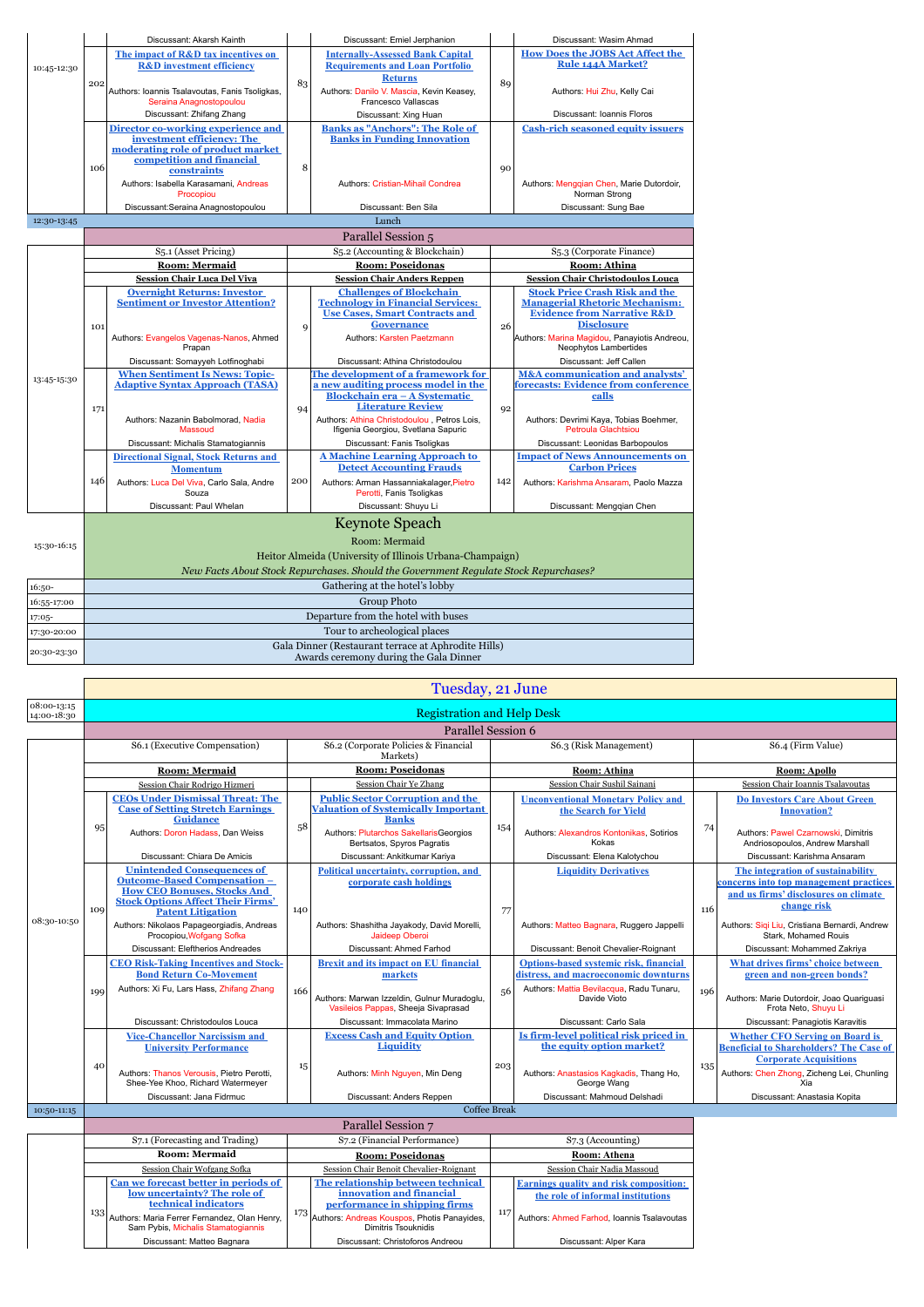|             |                                                                                               | Discussant: Akarsh Kainth                                                 |                                | Discussant: Emiel Jerphanion                                                         | Discussant: Wasim Ahmad |                                                                            |  |  |  |  |
|-------------|-----------------------------------------------------------------------------------------------|---------------------------------------------------------------------------|--------------------------------|--------------------------------------------------------------------------------------|-------------------------|----------------------------------------------------------------------------|--|--|--|--|
|             |                                                                                               | The impact of R&D tax incentives on                                       |                                | <b>Internally-Assessed Bank Capital</b>                                              |                         | <b>How Does the JOBS Act Affect the</b>                                    |  |  |  |  |
| 10:45-12:30 |                                                                                               | <b>R&amp;D</b> investment efficiency                                      |                                | <b>Requirements and Loan Portfolio</b>                                               |                         | <b>Rule 144A Market?</b>                                                   |  |  |  |  |
|             | 202                                                                                           |                                                                           | 83                             | <b>Returns</b>                                                                       | 89                      |                                                                            |  |  |  |  |
|             |                                                                                               | Authors: Ioannis Tsalavoutas, Fanis Tsoligkas,<br>Seraina Anagnostopoulou |                                | Authors: Danilo V. Mascia, Kevin Keasey,<br>Francesco Vallascas                      |                         | Authors: Hui Zhu, Kelly Cai                                                |  |  |  |  |
|             |                                                                                               | Discussant: Zhifang Zhang                                                 |                                | Discussant: Xing Huan                                                                |                         | Discussant: Ioannis Floros                                                 |  |  |  |  |
|             |                                                                                               | Director co-working experience and                                        |                                | <b>Banks as "Anchors": The Role of</b>                                               |                         | <b>Cash-rich seasoned equity issuers</b>                                   |  |  |  |  |
|             |                                                                                               | investment efficiency: The                                                |                                | <b>Banks in Funding Innovation</b>                                                   |                         |                                                                            |  |  |  |  |
|             |                                                                                               | moderating role of product market<br>competition and financial            |                                |                                                                                      |                         |                                                                            |  |  |  |  |
|             | 106                                                                                           | constraints                                                               | 8                              |                                                                                      | 90                      |                                                                            |  |  |  |  |
|             |                                                                                               | Authors: Isabella Karasamani, Andreas                                     |                                | Authors: Cristian-Mihail Condrea                                                     |                         | Authors: Mengqian Chen, Marie Dutordoir,                                   |  |  |  |  |
|             |                                                                                               | Procopiou                                                                 |                                |                                                                                      |                         | Norman Strong                                                              |  |  |  |  |
|             |                                                                                               | Discussant: Seraina Anagnostopoulou                                       |                                | Discussant: Ben Sila                                                                 |                         | Discussant: Sung Bae                                                       |  |  |  |  |
| 12:30-13:45 |                                                                                               |                                                                           |                                | Lunch                                                                                |                         |                                                                            |  |  |  |  |
|             |                                                                                               |                                                                           |                                | Parallel Session 5                                                                   |                         |                                                                            |  |  |  |  |
|             |                                                                                               | S5.1 (Asset Pricing)                                                      | S5.2 (Accounting & Blockchain) |                                                                                      |                         | S5.3 (Corporate Finance)                                                   |  |  |  |  |
|             |                                                                                               | <b>Room: Mermaid</b><br><b>Session Chair Luca Del Viva</b>                |                                | <b>Room: Poseidonas</b><br><b>Session Chair Anders Reppen</b>                        |                         | Room: Athina<br><b>Session Chair Christodoulos Louca</b>                   |  |  |  |  |
|             |                                                                                               | <b>Overnight Returns: Investor</b>                                        |                                | <b>Challenges of Blockchain</b>                                                      |                         | <b>Stock Price Crash Risk and the</b>                                      |  |  |  |  |
|             |                                                                                               | <b>Sentiment or Investor Attention?</b>                                   |                                | <b>Technology in Financial Services:</b>                                             |                         | <b>Managerial Rhetoric Mechanism:</b>                                      |  |  |  |  |
|             |                                                                                               |                                                                           |                                | <b>Use Cases, Smart Contracts and</b>                                                | 26                      | <b>Evidence from Narrative R&amp;D</b>                                     |  |  |  |  |
|             | 101                                                                                           | Authors: Evangelos Vagenas-Nanos, Ahmed                                   | 9                              | <b>Governance</b><br>Authors: Karsten Paetzmann                                      |                         | <b>Disclosure</b><br>Authors: Marina Magidou, Panayiotis Andreou,          |  |  |  |  |
|             |                                                                                               | Prapan                                                                    |                                |                                                                                      |                         | Neophytos Lambertides                                                      |  |  |  |  |
|             |                                                                                               | Discussant: Somayyeh Lotfinoghabi                                         |                                | Discussant: Athina Christodoulou                                                     |                         | Discussant: Jeff Callen                                                    |  |  |  |  |
| 13:45-15:30 |                                                                                               | <b>When Sentiment Is News: Topic-</b>                                     |                                | The development of a framework for                                                   |                         | M&A communication and analysts'                                            |  |  |  |  |
|             |                                                                                               | <b>Adaptive Syntax Approach (TASA)</b>                                    | 94                             | a new auditing process model in the<br>Blockchain era - A Systematic                 |                         | forecasts: Evidence from conference<br>calls                               |  |  |  |  |
|             | 171                                                                                           |                                                                           |                                | <b>Literature Review</b>                                                             | 92                      |                                                                            |  |  |  |  |
|             |                                                                                               | Authors: Nazanin Babolmorad, Nadia                                        |                                | Authors: Athina Christodoulou, Petros Lois,                                          |                         | Authors: Devrimi Kaya, Tobias Boehmer,                                     |  |  |  |  |
|             |                                                                                               | Massoud                                                                   |                                | Ifigenia Georgiou, Svetlana Sapuric                                                  |                         | Petroula Glachtsiou                                                        |  |  |  |  |
|             |                                                                                               | Discussant: Michalis Stamatogiannis                                       |                                | Discussant: Fanis Tsoligkas<br><b>A Machine Learning Approach to</b>                 |                         | Discussant: Leonidas Barbopoulos<br><b>Impact of News Announcements on</b> |  |  |  |  |
|             |                                                                                               | <b>Directional Signal, Stock Returns and</b><br><b>Momentum</b>           |                                | <b>Detect Accounting Frauds</b>                                                      |                         | <b>Carbon Prices</b>                                                       |  |  |  |  |
|             | 146                                                                                           | Authors: Luca Del Viva, Carlo Sala, Andre                                 | 200                            | Authors: Arman Hassanniakalager, Pietro                                              | 142                     | Authors: Karishma Ansaram, Paolo Mazza                                     |  |  |  |  |
|             |                                                                                               | Souza                                                                     |                                | Perotti, Fanis Tsoligkas                                                             |                         |                                                                            |  |  |  |  |
|             |                                                                                               | Discussant: Paul Whelan                                                   |                                | Discussant: Shuyu Li                                                                 |                         | Discussant: Menggian Chen                                                  |  |  |  |  |
|             | <b>Keynote Speach</b>                                                                         |                                                                           |                                |                                                                                      |                         |                                                                            |  |  |  |  |
| 15:30-16:15 |                                                                                               |                                                                           |                                | Room: Mermaid                                                                        |                         |                                                                            |  |  |  |  |
|             | Heitor Almeida (University of Illinois Urbana-Champaign)                                      |                                                                           |                                |                                                                                      |                         |                                                                            |  |  |  |  |
|             |                                                                                               |                                                                           |                                | New Facts About Stock Repurchases. Should the Government Regulate Stock Repurchases? |                         |                                                                            |  |  |  |  |
| $16:50-$    |                                                                                               |                                                                           |                                | Gathering at the hotel's lobby                                                       |                         |                                                                            |  |  |  |  |
| 16:55-17:00 |                                                                                               |                                                                           |                                | <b>Group Photo</b>                                                                   |                         |                                                                            |  |  |  |  |
| 17:05-      | Departure from the hotel with buses                                                           |                                                                           |                                |                                                                                      |                         |                                                                            |  |  |  |  |
| 17:30-20:00 | Tour to archeological places                                                                  |                                                                           |                                |                                                                                      |                         |                                                                            |  |  |  |  |
| 20:30-23:30 | Gala Dinner (Restaurant terrace at Aphrodite Hills)<br>Awards ceremony during the Gala Dinner |                                                                           |                                |                                                                                      |                         |                                                                            |  |  |  |  |

|                            | Tuesday, 21 June                  |                                                                                                                                                                                        |     |                                                                                                                                                                               |                        |                                                                                                                                             |              |                                                                                                                                                                                |  |  |
|----------------------------|-----------------------------------|----------------------------------------------------------------------------------------------------------------------------------------------------------------------------------------|-----|-------------------------------------------------------------------------------------------------------------------------------------------------------------------------------|------------------------|---------------------------------------------------------------------------------------------------------------------------------------------|--------------|--------------------------------------------------------------------------------------------------------------------------------------------------------------------------------|--|--|
| 08:00-13:15<br>14:00-18:30 | <b>Registration and Help Desk</b> |                                                                                                                                                                                        |     |                                                                                                                                                                               |                        |                                                                                                                                             |              |                                                                                                                                                                                |  |  |
|                            | Parallel Session 6                |                                                                                                                                                                                        |     |                                                                                                                                                                               |                        |                                                                                                                                             |              |                                                                                                                                                                                |  |  |
|                            |                                   | S6.1 (Executive Compensation)                                                                                                                                                          |     | S6.2 (Corporate Policies & Financial<br>Markets)                                                                                                                              | S6.3 (Risk Management) |                                                                                                                                             |              | S6.4 (Firm Value)                                                                                                                                                              |  |  |
|                            | <b>Room: Mermaid</b>              |                                                                                                                                                                                        |     | <b>Room: Poseidonas</b>                                                                                                                                                       |                        | <b>Room: Athina</b>                                                                                                                         | Room: Apollo |                                                                                                                                                                                |  |  |
|                            |                                   | Session Chair Rodrigo Hizmeri                                                                                                                                                          |     | <b>Session Chair Ye Zhang</b>                                                                                                                                                 |                        | Session Chair Sushil Sainani                                                                                                                |              | Session Chair Ioannis Tsalavoutas                                                                                                                                              |  |  |
|                            | 95                                | <b>CEOs Under Dismissal Threat: The</b><br><b>Case of Setting Stretch Earnings</b><br><b>Guidance</b><br>Authors: Doron Hadass, Dan Weiss                                              | 58  | <b>Public Sector Corruption and the</b><br><b>Valuation of Systemically Important</b><br><b>Banks</b><br>Authors: Plutarchos SakellarisGeorgios<br>Bertsatos, Spyros Pagratis | 154                    | <b>Unconventional Monetary Policy and</b><br>the Search for Yield<br>Authors: Alexandros Kontonikas, Sotirios<br>Kokas                      | 74           | <b>Do Investors Care About Green</b><br><b>Innovation?</b><br>Authors: Pawel Czarnowski, Dimitris<br>Andriosopoulos, Andrew Marshall                                           |  |  |
|                            |                                   | Discussant: Chiara De Amicis                                                                                                                                                           |     | Discussant: Ankitkumar Kariya                                                                                                                                                 |                        | Discussant: Elena Kalotychou                                                                                                                |              | Discussant: Karishma Ansaram                                                                                                                                                   |  |  |
|                            | 109                               | <b>Unintended Consequences of</b><br><b>Outcome-Based Compensation -</b><br><b>How CEO Bonuses, Stocks And</b><br><b>Stock Options Affect Their Firms'</b><br><b>Patent Litigation</b> | 140 | Political uncertainty, corruption, and<br>corporate cash holdings                                                                                                             | 77                     | <b>Liquidity Derivatives</b>                                                                                                                | 116          | The integration of sustainability<br>concerns into top management practices<br>and us firms' disclosures on climate<br>change risk                                             |  |  |
| 08:30-10:50                |                                   | Authors: Nikolaos Papageorgiadis, Andreas<br>Procopiou, Wofgang Sofka                                                                                                                  |     | Authors: Shashitha Jayakody, David Morelli,<br>Jaideep Oberoi                                                                                                                 |                        | Authors: Matteo Bagnara, Ruggero Jappelli                                                                                                   |              | Authors: Sigi Liu, Cristiana Bernardi, Andrew<br>Stark. Mohamed Rouis                                                                                                          |  |  |
|                            |                                   | Discussant: Eleftherios Andreades                                                                                                                                                      |     | Discussant: Ahmed Farhod                                                                                                                                                      |                        | Discussant: Benoit Chevalier-Roignant                                                                                                       |              | Discussant: Mohammed Zakriva                                                                                                                                                   |  |  |
|                            | 199                               | <b>CEO Risk-Taking Incentives and Stock-</b><br><b>Bond Return Co-Movement</b><br>Authors: Xi Fu, Lars Hass, Zhifang Zhang                                                             | 166 | <b>Brexit and its impact on EU financial</b><br>markets<br>Authors: Marwan Izzeldin, Gulnur Muradoglu,<br>Vasileios Pappas, Sheeja Sivaprasad                                 | 56                     | Options-based systemic risk, financial<br>distress, and macroeconomic downturns<br>Authors: Mattia Bevilacqua, Radu Tunaru,<br>Davide Vioto | 196          | What drives firms' choice between<br>green and non-green bonds?<br>Authors: Marie Dutordoir, Joao Quariquasi<br>Frota Neto, Shuyu Li                                           |  |  |
|                            |                                   | Discussant: Christodoulos Louca                                                                                                                                                        |     | Discussant: Immacolata Marino                                                                                                                                                 |                        | Discussant: Carlo Sala                                                                                                                      |              | Discussant: Panagiotis Karavitis                                                                                                                                               |  |  |
|                            | 40                                | <b>Vice-Chancellor Narcissism and</b><br><b>University Performance</b><br>Authors: Thanos Verousis, Pietro Perotti,<br>Shee-Yee Khoo, Richard Watermeyer                               | 15  | <b>Excess Cash and Equity Option</b><br>Liquidity<br>Authors: Minh Nguyen, Min Deng                                                                                           | 203                    | Is firm-level political risk priced in<br>the equity option market?<br>Authors: Anastasios Kagkadis, Thang Ho,<br>George Wang               | 135          | <b>Whether CFO Serving on Board is</b><br><b>Beneficial to Shareholders? The Case of</b><br><b>Corporate Acquisitions</b><br>Authors: Chen Zhong, Zicheng Lei, Chunling<br>Xia |  |  |
|                            |                                   | Discussant: Jana Fidrmuc                                                                                                                                                               |     | Discussant: Anders Reppen                                                                                                                                                     |                        | Discussant: Mahmoud Delshadi                                                                                                                |              | Discussant: Anastasia Kopita                                                                                                                                                   |  |  |
| 10:50-11:15                |                                   |                                                                                                                                                                                        |     | Coffee Break                                                                                                                                                                  |                        |                                                                                                                                             |              |                                                                                                                                                                                |  |  |
|                            | Parallel Session 7                |                                                                                                                                                                                        |     |                                                                                                                                                                               |                        |                                                                                                                                             |              |                                                                                                                                                                                |  |  |

|                                |                                                                                              |                  | т аганст резогон                                                                                |              |                                                                             |  |
|--------------------------------|----------------------------------------------------------------------------------------------|------------------|-------------------------------------------------------------------------------------------------|--------------|-----------------------------------------------------------------------------|--|
| S7.1 (Forecasting and Trading) |                                                                                              |                  | S7.2 (Financial Performance)                                                                    |              | S7.3 (Accounting)                                                           |  |
| <b>Room: Mermaid</b>           |                                                                                              |                  | <b>Room: Poseidonas</b>                                                                         | Room: Athena |                                                                             |  |
|                                | Session Chair Wofgang Sofka                                                                  |                  | Session Chair Benoit Chevalier-Roignant                                                         |              | Session Chair Nadia Massoud                                                 |  |
|                                | Can we forecast better in periods of<br>low uncertainty? The role of<br>technical indicators |                  | The relationship between technical<br>innovation and financial<br>performance in shipping firms |              | Earnings quality and risk composition:<br>the role of informal institutions |  |
| 133                            | Authors: Maria Ferrer Fernandez, Olan Henry,<br>Sam Pybis, Michalis Stamatogiannis           | 173 <sub>1</sub> | Authors: Andreas Kouspos, Photis Panavides,<br>Dimitris Tsouknidis                              | 117          | Authors: Ahmed Farhod, Ioannis Tsalavoutas                                  |  |
|                                | Discussant: Matteo Bagnara                                                                   |                  | Discussant: Christoforos Andreou                                                                |              | Discussant: Alper Kara                                                      |  |